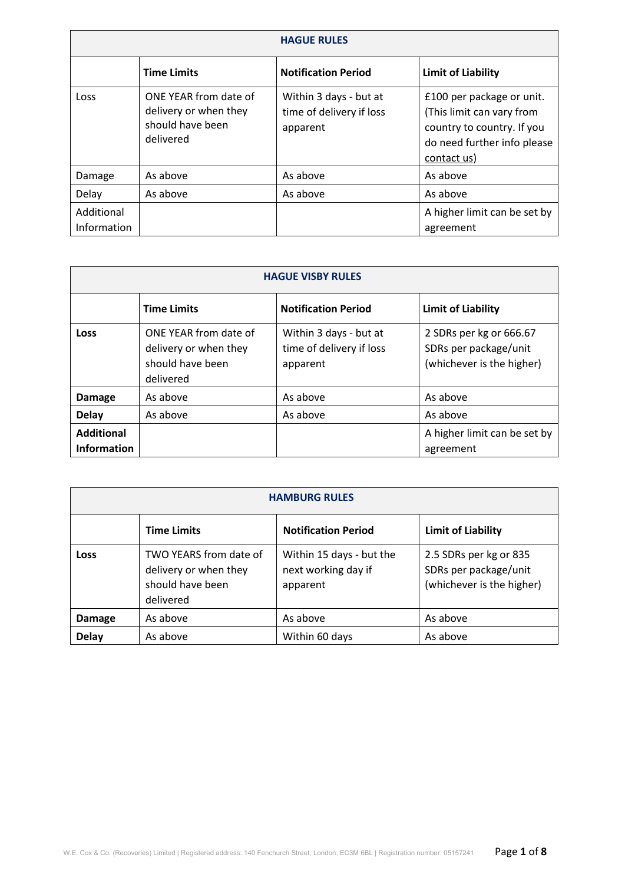| <b>HAGUE RULES</b>        |                                                                                 |                                                                |                                                                                                                                    |
|---------------------------|---------------------------------------------------------------------------------|----------------------------------------------------------------|------------------------------------------------------------------------------------------------------------------------------------|
|                           | <b>Time Limits</b>                                                              | <b>Notification Period</b>                                     | <b>Limit of Liability</b>                                                                                                          |
| Loss                      | ONE YEAR from date of<br>delivery or when they<br>should have been<br>delivered | Within 3 days - but at<br>time of delivery if loss<br>apparent | £100 per package or unit.<br>(This limit can vary from<br>country to country. If you<br>do need further info please<br>contact us) |
| Damage                    | As above                                                                        | As above                                                       | As above                                                                                                                           |
| Delay                     | As above                                                                        | As above                                                       | As above                                                                                                                           |
| Additional<br>Information |                                                                                 |                                                                | A higher limit can be set by<br>agreement                                                                                          |

| <b>HAGUE VISBY RULES</b>                |                                                                                 |                                                                |                                                                               |
|-----------------------------------------|---------------------------------------------------------------------------------|----------------------------------------------------------------|-------------------------------------------------------------------------------|
|                                         | <b>Time Limits</b>                                                              | <b>Notification Period</b>                                     | <b>Limit of Liability</b>                                                     |
| Loss                                    | ONE YEAR from date of<br>delivery or when they<br>should have been<br>delivered | Within 3 days - but at<br>time of delivery if loss<br>apparent | 2 SDRs per kg or 666.67<br>SDRs per package/unit<br>(whichever is the higher) |
| Damage                                  | As above                                                                        | As above                                                       | As above                                                                      |
| <b>Delay</b>                            | As above                                                                        | As above                                                       | As above                                                                      |
| <b>Additional</b><br><b>Information</b> |                                                                                 |                                                                | A higher limit can be set by<br>agreement                                     |

| <b>HAMBURG RULES</b> |                                                                                  |                                                             |                                                                              |
|----------------------|----------------------------------------------------------------------------------|-------------------------------------------------------------|------------------------------------------------------------------------------|
|                      | <b>Time Limits</b>                                                               | <b>Notification Period</b>                                  | <b>Limit of Liability</b>                                                    |
| Loss                 | TWO YEARS from date of<br>delivery or when they<br>should have been<br>delivered | Within 15 days - but the<br>next working day if<br>apparent | 2.5 SDRs per kg or 835<br>SDRs per package/unit<br>(whichever is the higher) |
| Damage               | As above                                                                         | As above                                                    | As above                                                                     |
| <b>Delay</b>         | As above                                                                         | Within 60 days                                              | As above                                                                     |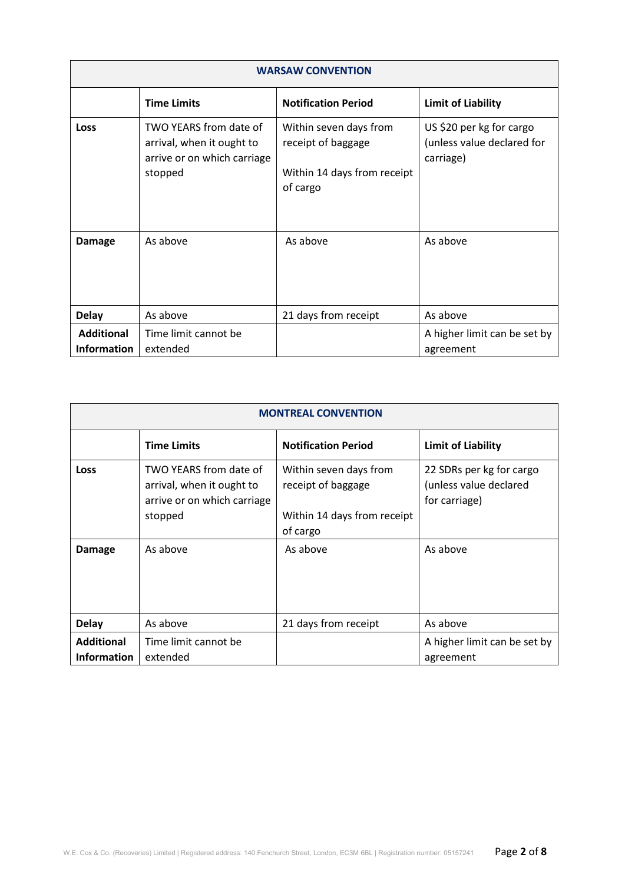| <b>WARSAW CONVENTION</b>                |                                                                                               |                                                                                         |                                                                     |
|-----------------------------------------|-----------------------------------------------------------------------------------------------|-----------------------------------------------------------------------------------------|---------------------------------------------------------------------|
|                                         | <b>Time Limits</b>                                                                            | <b>Notification Period</b>                                                              | <b>Limit of Liability</b>                                           |
| Loss                                    | TWO YEARS from date of<br>arrival, when it ought to<br>arrive or on which carriage<br>stopped | Within seven days from<br>receipt of baggage<br>Within 14 days from receipt<br>of cargo | US \$20 per kg for cargo<br>(unless value declared for<br>carriage) |
| <b>Damage</b>                           | As above                                                                                      | As above                                                                                | As above                                                            |
| <b>Delay</b>                            | As above                                                                                      | 21 days from receipt                                                                    | As above                                                            |
| <b>Additional</b><br><b>Information</b> | Time limit cannot be<br>extended                                                              |                                                                                         | A higher limit can be set by<br>agreement                           |

| <b>MONTREAL CONVENTION</b>              |                                                                                               |                                                                                         |                                                                     |
|-----------------------------------------|-----------------------------------------------------------------------------------------------|-----------------------------------------------------------------------------------------|---------------------------------------------------------------------|
|                                         | <b>Time Limits</b>                                                                            | <b>Notification Period</b>                                                              | <b>Limit of Liability</b>                                           |
| Loss                                    | TWO YEARS from date of<br>arrival, when it ought to<br>arrive or on which carriage<br>stopped | Within seven days from<br>receipt of baggage<br>Within 14 days from receipt<br>of cargo | 22 SDRs per kg for cargo<br>(unless value declared<br>for carriage) |
| <b>Damage</b>                           | As above                                                                                      | As above                                                                                | As above                                                            |
| <b>Delay</b>                            | As above                                                                                      | 21 days from receipt                                                                    | As above                                                            |
| <b>Additional</b><br><b>Information</b> | Time limit cannot be<br>extended                                                              |                                                                                         | A higher limit can be set by<br>agreement                           |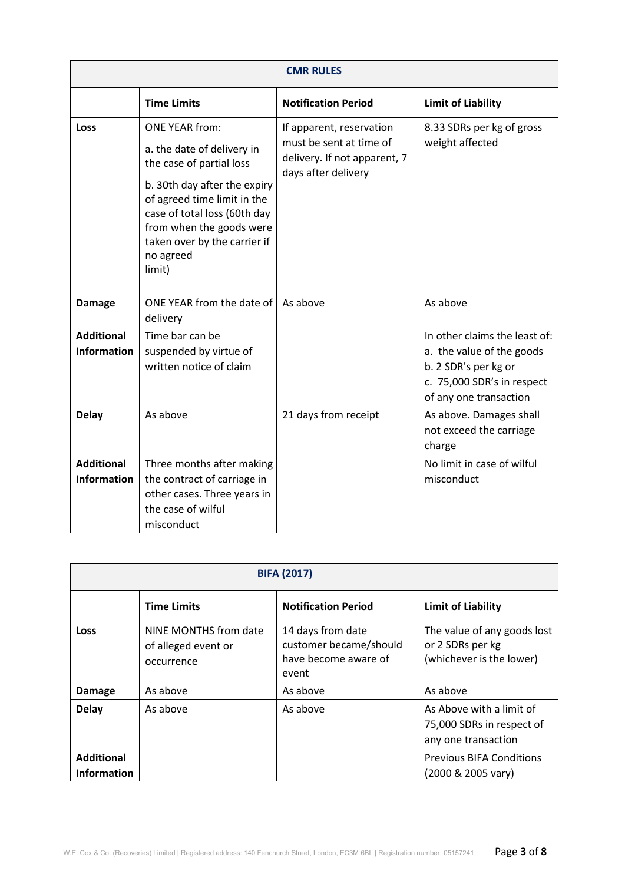| <b>CMR RULES</b>                        |                                                                                                                                                                                                                                                                   |                                                                                                            |                                                                                                                                            |
|-----------------------------------------|-------------------------------------------------------------------------------------------------------------------------------------------------------------------------------------------------------------------------------------------------------------------|------------------------------------------------------------------------------------------------------------|--------------------------------------------------------------------------------------------------------------------------------------------|
|                                         | <b>Time Limits</b>                                                                                                                                                                                                                                                | <b>Notification Period</b>                                                                                 | <b>Limit of Liability</b>                                                                                                                  |
| Loss                                    | <b>ONE YEAR from:</b><br>a. the date of delivery in<br>the case of partial loss<br>b. 30th day after the expiry<br>of agreed time limit in the<br>case of total loss (60th day<br>from when the goods were<br>taken over by the carrier if<br>no agreed<br>limit) | If apparent, reservation<br>must be sent at time of<br>delivery. If not apparent, 7<br>days after delivery | 8.33 SDRs per kg of gross<br>weight affected                                                                                               |
| <b>Damage</b>                           | ONE YEAR from the date of<br>delivery                                                                                                                                                                                                                             | As above                                                                                                   | As above                                                                                                                                   |
| <b>Additional</b><br><b>Information</b> | Time bar can be<br>suspended by virtue of<br>written notice of claim                                                                                                                                                                                              |                                                                                                            | In other claims the least of:<br>a. the value of the goods<br>b. 2 SDR's per kg or<br>c. 75,000 SDR's in respect<br>of any one transaction |
| <b>Delay</b>                            | As above                                                                                                                                                                                                                                                          | 21 days from receipt                                                                                       | As above. Damages shall<br>not exceed the carriage<br>charge                                                                               |
| <b>Additional</b><br><b>Information</b> | Three months after making<br>the contract of carriage in<br>other cases. Three years in<br>the case of wilful<br>misconduct                                                                                                                                       |                                                                                                            | No limit in case of wilful<br>misconduct                                                                                                   |

| <b>BIFA (2017)</b>                      |                                                            |                                                                              |                                                                              |
|-----------------------------------------|------------------------------------------------------------|------------------------------------------------------------------------------|------------------------------------------------------------------------------|
|                                         | <b>Time Limits</b>                                         | <b>Notification Period</b>                                                   | <b>Limit of Liability</b>                                                    |
| Loss                                    | NINE MONTHS from date<br>of alleged event or<br>occurrence | 14 days from date<br>customer became/should<br>have become aware of<br>event | The value of any goods lost<br>or 2 SDRs per kg<br>(whichever is the lower)  |
| Damage                                  | As above                                                   | As above                                                                     | As above                                                                     |
| <b>Delay</b>                            | As above                                                   | As above                                                                     | As Above with a limit of<br>75,000 SDRs in respect of<br>any one transaction |
| <b>Additional</b><br><b>Information</b> |                                                            |                                                                              | <b>Previous BIFA Conditions</b><br>(2000 & 2005 vary)                        |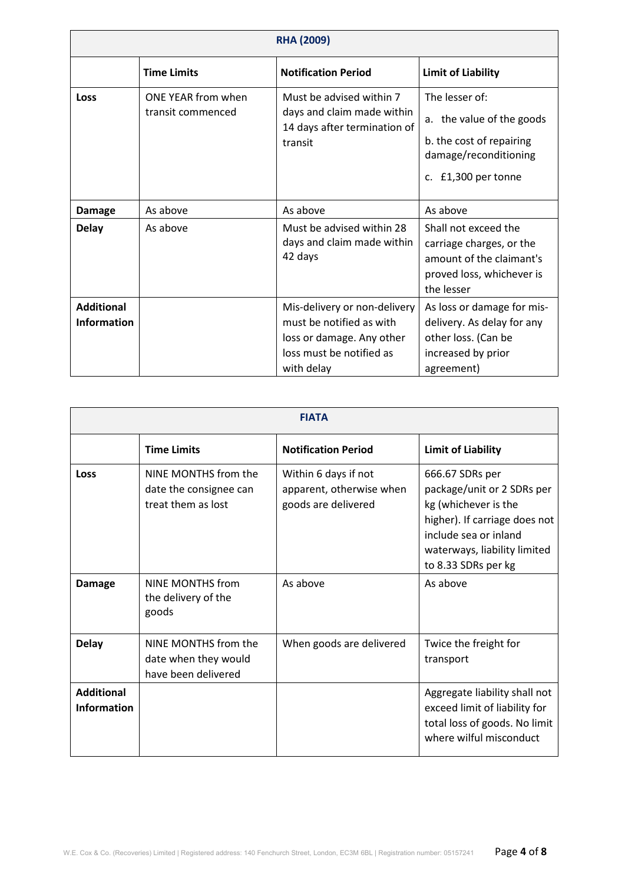| <b>RHA (2009)</b>                       |                                         |                                                                                                                                 |                                                                                                                         |
|-----------------------------------------|-----------------------------------------|---------------------------------------------------------------------------------------------------------------------------------|-------------------------------------------------------------------------------------------------------------------------|
|                                         | <b>Time Limits</b>                      | <b>Notification Period</b>                                                                                                      | <b>Limit of Liability</b>                                                                                               |
| <b>Loss</b>                             | ONE YEAR from when<br>transit commenced | Must be advised within 7<br>days and claim made within<br>14 days after termination of<br>transit                               | The lesser of:<br>a. the value of the goods<br>b. the cost of repairing<br>damage/reconditioning<br>c. £1,300 per tonne |
| <b>Damage</b>                           | As above                                | As above                                                                                                                        | As above                                                                                                                |
| <b>Delay</b>                            | As above                                | Must be advised within 28<br>days and claim made within<br>42 days                                                              | Shall not exceed the<br>carriage charges, or the<br>amount of the claimant's<br>proved loss, whichever is<br>the lesser |
| <b>Additional</b><br><b>Information</b> |                                         | Mis-delivery or non-delivery<br>must be notified as with<br>loss or damage. Any other<br>loss must be notified as<br>with delay | As loss or damage for mis-<br>delivery. As delay for any<br>other loss. (Can be<br>increased by prior<br>agreement)     |

| <b>FIATA</b>                            |                                                                      |                                                                         |                                                                                                                                                                                        |
|-----------------------------------------|----------------------------------------------------------------------|-------------------------------------------------------------------------|----------------------------------------------------------------------------------------------------------------------------------------------------------------------------------------|
|                                         | <b>Time Limits</b>                                                   | <b>Notification Period</b>                                              | <b>Limit of Liability</b>                                                                                                                                                              |
| Loss                                    | NINE MONTHS from the<br>date the consignee can<br>treat them as lost | Within 6 days if not<br>apparent, otherwise when<br>goods are delivered | 666.67 SDRs per<br>package/unit or 2 SDRs per<br>kg (whichever is the<br>higher). If carriage does not<br>include sea or inland<br>waterways, liability limited<br>to 8.33 SDRs per kg |
| <b>Damage</b>                           | NINE MONTHS from<br>the delivery of the<br>goods                     | As above                                                                | As above                                                                                                                                                                               |
| <b>Delay</b>                            | NINE MONTHS from the<br>date when they would<br>have been delivered  | When goods are delivered                                                | Twice the freight for<br>transport                                                                                                                                                     |
| <b>Additional</b><br><b>Information</b> |                                                                      |                                                                         | Aggregate liability shall not<br>exceed limit of liability for<br>total loss of goods. No limit<br>where wilful misconduct                                                             |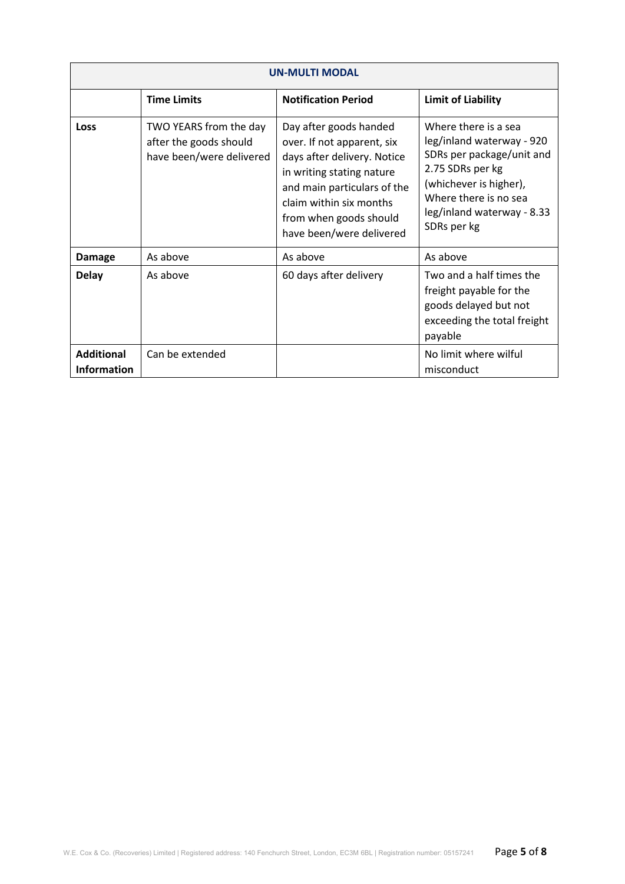| <b>UN-MULTI MODAL</b>                   |                                                                              |                                                                                                                                                                                                                                  |                                                                                                                                                                                                    |
|-----------------------------------------|------------------------------------------------------------------------------|----------------------------------------------------------------------------------------------------------------------------------------------------------------------------------------------------------------------------------|----------------------------------------------------------------------------------------------------------------------------------------------------------------------------------------------------|
|                                         | <b>Time Limits</b>                                                           | <b>Notification Period</b>                                                                                                                                                                                                       | <b>Limit of Liability</b>                                                                                                                                                                          |
| Loss                                    | TWO YEARS from the day<br>after the goods should<br>have been/were delivered | Day after goods handed<br>over. If not apparent, six<br>days after delivery. Notice<br>in writing stating nature<br>and main particulars of the<br>claim within six months<br>from when goods should<br>have been/were delivered | Where there is a sea<br>leg/inland waterway - 920<br>SDRs per package/unit and<br>2.75 SDRs per kg<br>(whichever is higher),<br>Where there is no sea<br>leg/inland waterway - 8.33<br>SDRs per kg |
| Damage                                  | As above                                                                     | As above                                                                                                                                                                                                                         | As above                                                                                                                                                                                           |
| <b>Delay</b>                            | As above                                                                     | 60 days after delivery                                                                                                                                                                                                           | Two and a half times the<br>freight payable for the<br>goods delayed but not<br>exceeding the total freight<br>payable                                                                             |
| <b>Additional</b><br><b>Information</b> | Can be extended                                                              |                                                                                                                                                                                                                                  | No limit where wilful<br>misconduct                                                                                                                                                                |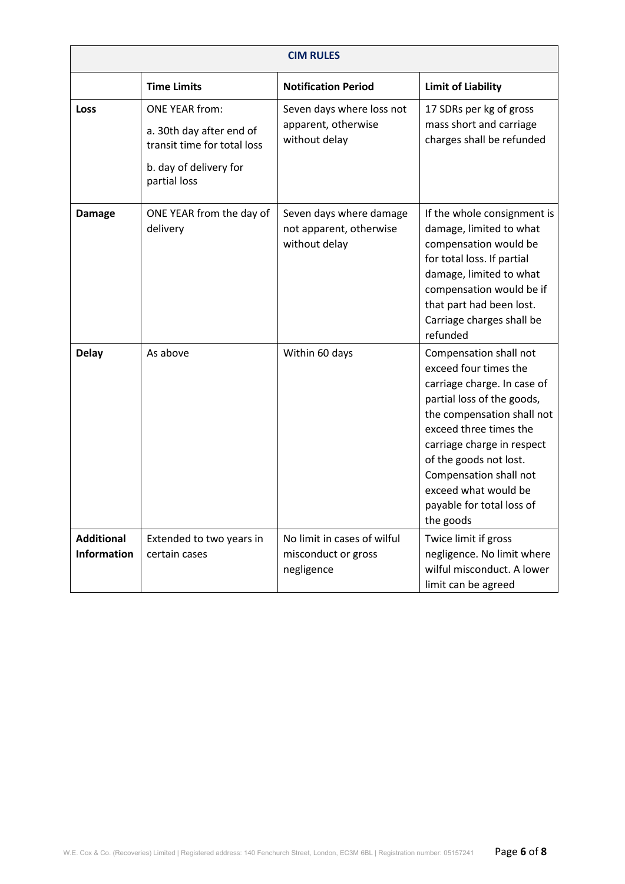| <b>CIM RULES</b>                        |                                                                                                                            |                                                                     |                                                                                                                                                                                                                                                                                                                          |
|-----------------------------------------|----------------------------------------------------------------------------------------------------------------------------|---------------------------------------------------------------------|--------------------------------------------------------------------------------------------------------------------------------------------------------------------------------------------------------------------------------------------------------------------------------------------------------------------------|
|                                         | <b>Time Limits</b>                                                                                                         | <b>Notification Period</b>                                          | <b>Limit of Liability</b>                                                                                                                                                                                                                                                                                                |
| Loss                                    | <b>ONE YEAR from:</b><br>a. 30th day after end of<br>transit time for total loss<br>b. day of delivery for<br>partial loss | Seven days where loss not<br>apparent, otherwise<br>without delay   | 17 SDRs per kg of gross<br>mass short and carriage<br>charges shall be refunded                                                                                                                                                                                                                                          |
| <b>Damage</b>                           | ONE YEAR from the day of<br>delivery                                                                                       | Seven days where damage<br>not apparent, otherwise<br>without delay | If the whole consignment is<br>damage, limited to what<br>compensation would be<br>for total loss. If partial<br>damage, limited to what<br>compensation would be if<br>that part had been lost.<br>Carriage charges shall be<br>refunded                                                                                |
| <b>Delay</b>                            | As above                                                                                                                   | Within 60 days                                                      | Compensation shall not<br>exceed four times the<br>carriage charge. In case of<br>partial loss of the goods,<br>the compensation shall not<br>exceed three times the<br>carriage charge in respect<br>of the goods not lost.<br>Compensation shall not<br>exceed what would be<br>payable for total loss of<br>the goods |
| <b>Additional</b><br><b>Information</b> | Extended to two years in<br>certain cases                                                                                  | No limit in cases of wilful<br>misconduct or gross<br>negligence    | Twice limit if gross<br>negligence. No limit where<br>wilful misconduct. A lower<br>limit can be agreed                                                                                                                                                                                                                  |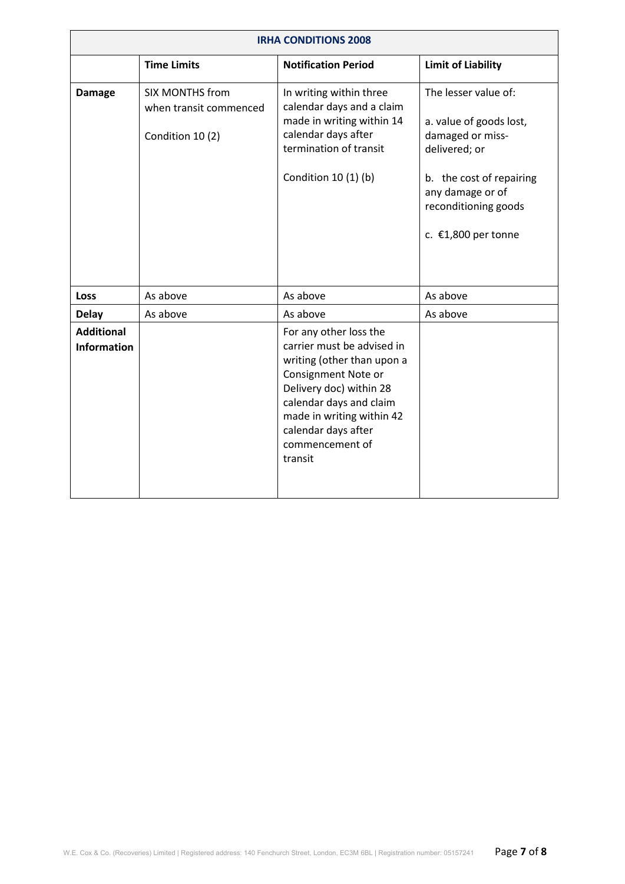| <b>IRHA CONDITIONS 2008</b>             |                                                                      |                                                                                                                                                                                                                                                   |                                                                                                                                                                                     |
|-----------------------------------------|----------------------------------------------------------------------|---------------------------------------------------------------------------------------------------------------------------------------------------------------------------------------------------------------------------------------------------|-------------------------------------------------------------------------------------------------------------------------------------------------------------------------------------|
|                                         | <b>Time Limits</b>                                                   | <b>Notification Period</b>                                                                                                                                                                                                                        | <b>Limit of Liability</b>                                                                                                                                                           |
| <b>Damage</b>                           | <b>SIX MONTHS from</b><br>when transit commenced<br>Condition 10 (2) | In writing within three<br>calendar days and a claim<br>made in writing within 14<br>calendar days after<br>termination of transit<br>Condition $10(1)(b)$                                                                                        | The lesser value of:<br>a. value of goods lost,<br>damaged or miss-<br>delivered; or<br>b. the cost of repairing<br>any damage or of<br>reconditioning goods<br>c. €1,800 per tonne |
| <b>Loss</b>                             | As above                                                             | As above                                                                                                                                                                                                                                          | As above                                                                                                                                                                            |
| <b>Delay</b>                            | As above                                                             | As above                                                                                                                                                                                                                                          | As above                                                                                                                                                                            |
| <b>Additional</b><br><b>Information</b> |                                                                      | For any other loss the<br>carrier must be advised in<br>writing (other than upon a<br>Consignment Note or<br>Delivery doc) within 28<br>calendar days and claim<br>made in writing within 42<br>calendar days after<br>commencement of<br>transit |                                                                                                                                                                                     |